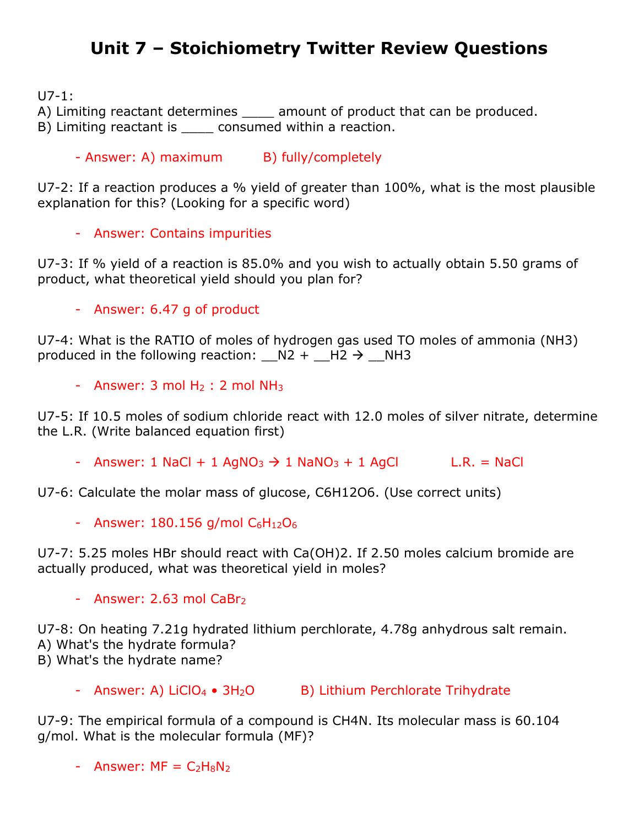## **Unit 7 – Stoichiometry Twitter Review Questions**

U7-1:

A) Limiting reactant determines amount of product that can be produced.

B) Limiting reactant is consumed within a reaction.

- Answer: A) maximum B) fully/completely

U7-2: If a reaction produces a % yield of greater than 100%, what is the most plausible explanation for this? (Looking for a specific word)

- Answer: Contains impurities

U7-3: If % yield of a reaction is 85.0% and you wish to actually obtain 5.50 grams of product, what theoretical yield should you plan for?

- Answer: 6.47 g of product

U7-4: What is the RATIO of moles of hydrogen gas used TO moles of ammonia (NH3) produced in the following reaction:  $N2 + H2 \rightarrow NH3$ 

- Answer:  $3 \text{ mol H}_2$  :  $2 \text{ mol NH}_3$ 

U7-5: If 10.5 moles of sodium chloride react with 12.0 moles of silver nitrate, determine the L.R. (Write balanced equation first)

- Answer: 1 NaCl + 1 AgNO<sub>3</sub>  $\rightarrow$  1 NaNO<sub>3</sub> + 1 AgCl L.R. = NaCl

U7-6: Calculate the molar mass of glucose, C6H12O6. (Use correct units)

- Answer:  $180.156$  g/mol  $C_6H_{12}O_6$ 

U7-7: 5.25 moles HBr should react with Ca(OH)2. If 2.50 moles calcium bromide are actually produced, what was theoretical yield in moles?

- Answer:  $2.63$  mol CaBr<sub>2</sub>

U7-8: On heating 7.21g hydrated lithium perchlorate, 4.78g anhydrous salt remain. A) What's the hydrate formula? B) What's the hydrate name?

- Answer: A) LiClO<sub>4</sub> • 3H<sub>2</sub>O B) Lithium Perchlorate Trihydrate

U7-9: The empirical formula of a compound is CH4N. Its molecular mass is 60.104 g/mol. What is the molecular formula (MF)?

- Answer:  $MF = C<sub>2</sub>H<sub>8</sub>N<sub>2</sub>$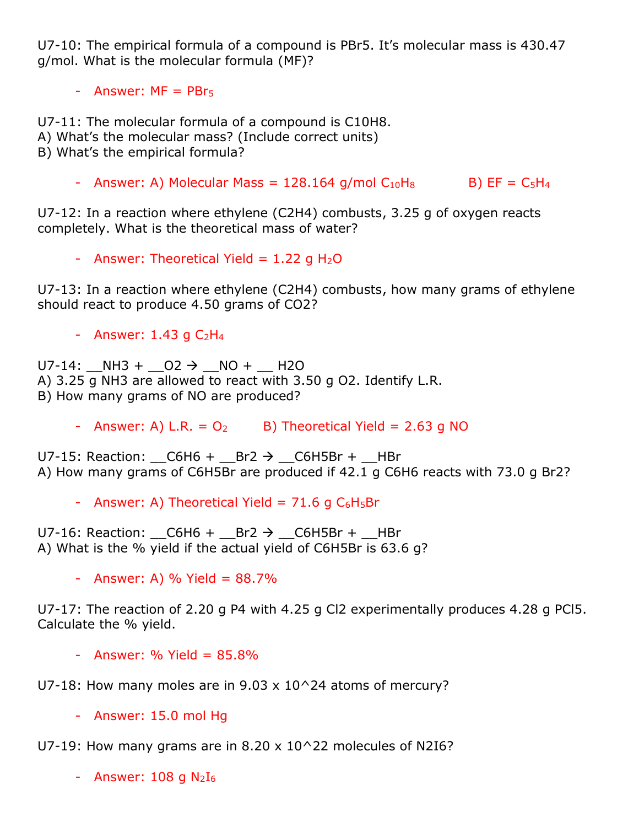U7-10: The empirical formula of a compound is PBr5. It's molecular mass is 430.47 g/mol. What is the molecular formula (MF)?

- Answer:  $MF = PBr<sub>5</sub>$ 

U7-11: The molecular formula of a compound is C10H8. A) What's the molecular mass? (Include correct units) B) What's the empirical formula?

- Answer: A) Molecular Mass =  $128.164$  g/mol  $C_{10}H_8$  B) EF =  $C_5H_4$ 

U7-12: In a reaction where ethylene (C2H4) combusts, 3.25 g of oxygen reacts completely. What is the theoretical mass of water?

- Answer: Theoretical Yield =  $1.22$  g H<sub>2</sub>O

U7-13: In a reaction where ethylene (C2H4) combusts, how many grams of ethylene should react to produce 4.50 grams of CO2?

- Answer:  $1.43$  g  $C_2H_4$ 

 $U7-14$ : NH3 +  $O2 \rightarrow$  NO + H2O A) 3.25 g NH3 are allowed to react with 3.50 g O2. Identify L.R. B) How many grams of NO are produced?

- Answer: A) L.R. =  $O_2$  B) Theoretical Yield = 2.63 g NO

U7-15: Reaction:  $_C6H6 + Br2 \rightarrow C6H5Br + Br$ A) How many grams of C6H5Br are produced if 42.1 g C6H6 reacts with 73.0 g Br2?

- Answer: A) Theoretical Yield =  $71.6$  g  $C_6H_5Br$ 

U7-16: Reaction:  $C6H6 + Br2 \rightarrow C6H5Br + HBr$ A) What is the % yield if the actual yield of C6H5Br is 63.6 g?

- Answer: A) % Yield =  $88.7%$ 

U7-17: The reaction of 2.20 g P4 with 4.25 g Cl2 experimentally produces 4.28 g PCl5. Calculate the % yield.

 $-$  Answer: % Yield =  $85.8%$ 

U7-18: How many moles are in  $9.03 \times 10^24$  atoms of mercury?

- Answer: 15.0 mol Hg

U7-19: How many grams are in 8.20 x 10^22 molecules of N2I6?

- Answer:  $108$  g  $N_2I_6$